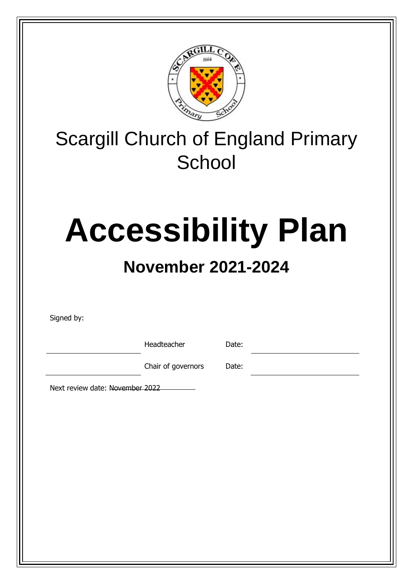

# Scargill Church of England Primary **School**

# **Accessibility Plan**

# **November 2021-2024**

Signed by:

Headteacher Date:

Chair of governors Date:

Next review date: November 2022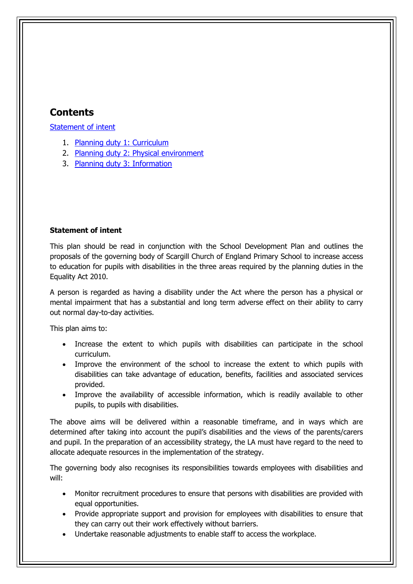### **Contents**

[Statement of intent](#page-1-0)

- 1. [Planning duty 1: Curriculum](#page-3-0)
- 2. [Planning duty 2: Physical environment](#page-4-0)
- 3. [Planning duty 3: Information](#page-6-0)

#### <span id="page-1-0"></span>**Statement of intent**

This plan should be read in conjunction with the School Development Plan and outlines the proposals of the governing body of Scargill Church of England Primary School to increase access to education for pupils with disabilities in the three areas required by the planning duties in the Equality Act 2010.

A person is regarded as having a disability under the Act where the person has a physical or mental impairment that has a substantial and long term adverse effect on their ability to carry out normal day-to-day activities.

This plan aims to:

- Increase the extent to which pupils with disabilities can participate in the school curriculum.
- Improve the environment of the school to increase the extent to which pupils with disabilities can take advantage of education, benefits, facilities and associated services provided.
- Improve the availability of accessible information, which is readily available to other pupils, to pupils with disabilities.

The above aims will be delivered within a reasonable timeframe, and in ways which are determined after taking into account the pupil's disabilities and the views of the parents/carers and pupil. In the preparation of an accessibility strategy, the LA must have regard to the need to allocate adequate resources in the implementation of the strategy.

The governing body also recognises its responsibilities towards employees with disabilities and will:

- Monitor recruitment procedures to ensure that persons with disabilities are provided with equal opportunities.
- Provide appropriate support and provision for employees with disabilities to ensure that they can carry out their work effectively without barriers.
- Undertake reasonable adjustments to enable staff to access the workplace.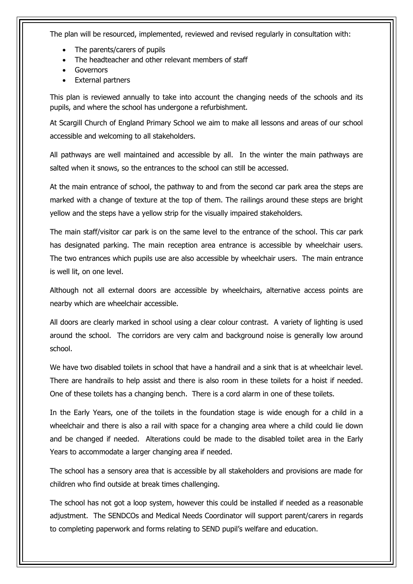The plan will be resourced, implemented, reviewed and revised regularly in consultation with:

- The parents/carers of pupils
- The headteacher and other relevant members of staff
- Governors
- External partners

This plan is reviewed annually to take into account the changing needs of the schools and its pupils, and where the school has undergone a refurbishment.

At Scargill Church of England Primary School we aim to make all lessons and areas of our school accessible and welcoming to all stakeholders.

All pathways are well maintained and accessible by all. In the winter the main pathways are salted when it snows, so the entrances to the school can still be accessed.

At the main entrance of school, the pathway to and from the second car park area the steps are marked with a change of texture at the top of them. The railings around these steps are bright yellow and the steps have a yellow strip for the visually impaired stakeholders.

The main staff/visitor car park is on the same level to the entrance of the school. This car park has designated parking. The main reception area entrance is accessible by wheelchair users. The two entrances which pupils use are also accessible by wheelchair users. The main entrance is well lit, on one level.

Although not all external doors are accessible by wheelchairs, alternative access points are nearby which are wheelchair accessible.

All doors are clearly marked in school using a clear colour contrast. A variety of lighting is used around the school. The corridors are very calm and background noise is generally low around school.

We have two disabled toilets in school that have a handrail and a sink that is at wheelchair level. There are handrails to help assist and there is also room in these toilets for a hoist if needed. One of these toilets has a changing bench. There is a cord alarm in one of these toilets.

In the Early Years, one of the toilets in the foundation stage is wide enough for a child in a wheelchair and there is also a rail with space for a changing area where a child could lie down and be changed if needed. Alterations could be made to the disabled toilet area in the Early Years to accommodate a larger changing area if needed.

The school has a sensory area that is accessible by all stakeholders and provisions are made for children who find outside at break times challenging.

The school has not got a loop system, however this could be installed if needed as a reasonable adjustment. The SENDCOs and Medical Needs Coordinator will support parent/carers in regards to completing paperwork and forms relating to SEND pupil's welfare and education.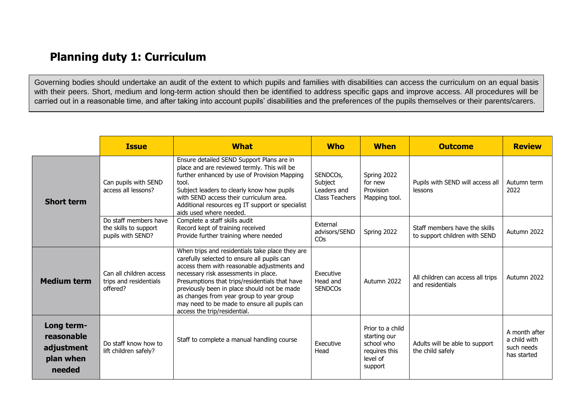## **Planning duty 1: Curriculum**

Governing bodies should undertake an audit of the extent to which pupils and families with disabilities can access the curriculum on an equal basis with their peers. Short, medium and long-term action should then be identified to address specific gaps and improve access. All procedures will be carried out in a reasonable time, and after taking into account pupils' disabilities and the preferences of the pupils themselves or their parents/carers.

<span id="page-3-0"></span>

|                                                               | <b>Issue</b>                                                        | <b>What</b>                                                                                                                                                                                                                                                                                                                                                                                                        | <b>Who</b>                                           | <b>When</b>                                                                            | <b>Outcome</b>                                                 | <b>Review</b>                                              |
|---------------------------------------------------------------|---------------------------------------------------------------------|--------------------------------------------------------------------------------------------------------------------------------------------------------------------------------------------------------------------------------------------------------------------------------------------------------------------------------------------------------------------------------------------------------------------|------------------------------------------------------|----------------------------------------------------------------------------------------|----------------------------------------------------------------|------------------------------------------------------------|
| <b>Short term</b>                                             | Can pupils with SEND<br>access all lessons?                         | Ensure detailed SEND Support Plans are in<br>place and are reviewed termly. This will be<br>further enhanced by use of Provision Mapping<br>tool.<br>Subject leaders to clearly know how pupils<br>with SEND access their curriculum area.<br>Additional resources eg IT support or specialist<br>aids used where needed.                                                                                          | SENDCOs,<br>Subject<br>Leaders and<br>Class Teachers | Spring 2022<br>for new<br>Provision<br>Mapping tool.                                   | Pupils with SEND will access all<br>lessons                    | Autumn term<br>2022                                        |
|                                                               | Do staff members have<br>the skills to support<br>pupils with SEND? | Complete a staff skills audit<br>Record kept of training received<br>Provide further training where needed                                                                                                                                                                                                                                                                                                         | External<br>advisors/SEND<br>CO <sub>S</sub>         | Spring 2022                                                                            | Staff members have the skills<br>to support children with SEND | Autumn 2022                                                |
| <b>Medium term</b>                                            | Can all children access<br>trips and residentials<br>offered?       | When trips and residentials take place they are<br>carefully selected to ensure all pupils can<br>access them with reasonable adjustments and<br>necessary risk assessments in place.<br>Presumptions that trips/residentials that have<br>previously been in place should not be made<br>as changes from year group to year group<br>may need to be made to ensure all pupils can<br>access the trip/residential. | Executive<br>Head and<br><b>SENDCOS</b>              | Autumn 2022                                                                            | All children can access all trips<br>and residentials          | Autumn 2022                                                |
| Long term-<br>reasonable<br>adjustment<br>plan when<br>needed | Do staff know how to<br>lift children safely?                       | Staff to complete a manual handling course                                                                                                                                                                                                                                                                                                                                                                         | Executive<br>Head                                    | Prior to a child<br>starting our<br>school who<br>requires this<br>level of<br>support | Adults will be able to support<br>the child safely             | A month after<br>a child with<br>such needs<br>has started |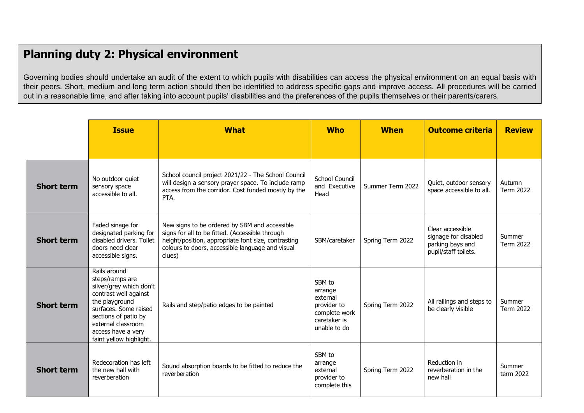# **Planning duty 2: Physical environment**

Governing bodies should undertake an audit of the extent to which pupils with disabilities can access the physical environment on an equal basis with their peers. Short, medium and long term action should then be identified to address specific gaps and improve access. All procedures will be carried out in a reasonable time, and after taking into account pupils' disabilities and the preferences of the pupils themselves or their parents/carers.

<span id="page-4-0"></span>

|                   | <b>Issue</b>                                                                                                                                                                                                                  | <b>What</b>                                                                                                                                                                                                           | <b>Who</b>                                                                                    | <b>When</b>      | <b>Outcome criteria</b>                                                              | <b>Review</b>              |
|-------------------|-------------------------------------------------------------------------------------------------------------------------------------------------------------------------------------------------------------------------------|-----------------------------------------------------------------------------------------------------------------------------------------------------------------------------------------------------------------------|-----------------------------------------------------------------------------------------------|------------------|--------------------------------------------------------------------------------------|----------------------------|
|                   |                                                                                                                                                                                                                               |                                                                                                                                                                                                                       |                                                                                               |                  |                                                                                      |                            |
| <b>Short term</b> | No outdoor quiet<br>sensory space<br>accessible to all.                                                                                                                                                                       | School council project 2021/22 - The School Council<br>will design a sensory prayer space. To include ramp<br>access from the corridor. Cost funded mostly by the<br>PTA.                                             | <b>School Council</b><br>and Executive<br>Head                                                | Summer Term 2022 | Quiet, outdoor sensory<br>space accessible to all.                                   | Autumn<br><b>Term 2022</b> |
| <b>Short term</b> | Faded sinage for<br>designated parking for<br>disabled drivers. Toilet<br>doors need clear<br>accessible signs.                                                                                                               | New signs to be ordered by SBM and accessible<br>signs for all to be fitted. (Accessible through<br>height/position, appropriate font size, contrasting<br>colours to doors, accessible language and visual<br>clues) | SBM/caretaker                                                                                 | Spring Term 2022 | Clear accessible<br>signage for disabled<br>parking bays and<br>pupil/staff toilets. | Summer<br>Term 2022        |
| <b>Short term</b> | Rails around<br>steps/ramps are<br>silver/grey which don't<br>contrast well against<br>the playground<br>surfaces. Some raised<br>sections of patio by<br>external classroom<br>access have a very<br>faint yellow highlight. | Rails and step/patio edges to be painted                                                                                                                                                                              | SBM to<br>arrange<br>external<br>provider to<br>complete work<br>caretaker is<br>unable to do | Spring Term 2022 | All railings and steps to<br>be clearly visible                                      | Summer<br><b>Term 2022</b> |
| <b>Short term</b> | Redecoration has left<br>the new hall with<br>reverberation                                                                                                                                                                   | Sound absorption boards to be fitted to reduce the<br>reverberation                                                                                                                                                   | SBM to<br>arrange<br>external<br>provider to<br>complete this                                 | Spring Term 2022 | Reduction in<br>reverberation in the<br>new hall                                     | Summer<br>term 2022        |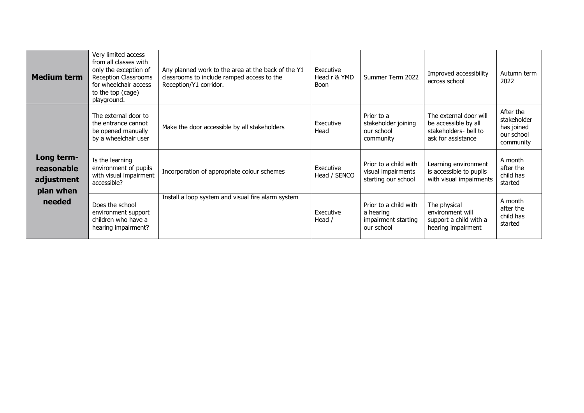| <b>Medium term</b>                                            | Very limited access<br>from all classes with<br>only the exception of<br>Reception Classrooms<br>for wheelchair access<br>to the top (cage)<br>playground. | Any planned work to the area at the back of the Y1<br>classrooms to include ramped access to the<br>Reception/Y1 corridor. | Executive<br>Head r & YMD<br><b>Boon</b> | Summer Term 2022                                                        | Improved accessibility<br>across school                                                       | Autumn term<br>2022                                               |
|---------------------------------------------------------------|------------------------------------------------------------------------------------------------------------------------------------------------------------|----------------------------------------------------------------------------------------------------------------------------|------------------------------------------|-------------------------------------------------------------------------|-----------------------------------------------------------------------------------------------|-------------------------------------------------------------------|
|                                                               | The external door to<br>the entrance cannot<br>be opened manually<br>by a wheelchair user                                                                  | Make the door accessible by all stakeholders                                                                               | Executive<br>Head                        | Prior to a<br>stakeholder joining<br>our school<br>community            | The external door will<br>be accessible by all<br>stakeholders- bell to<br>ask for assistance | After the<br>stakeholder<br>has joined<br>our school<br>community |
| Long term-<br>reasonable<br>adjustment<br>plan when<br>needed | Is the learning<br>environment of pupils<br>with visual impairment<br>accessible?                                                                          | Incorporation of appropriate colour schemes                                                                                | Executive<br>Head / SENCO                | Prior to a child with<br>visual impairments<br>starting our school      | Learning environment<br>is accessible to pupils<br>with visual impairments                    | A month<br>after the<br>child has<br>started                      |
|                                                               | Does the school<br>environment support<br>children who have a<br>hearing impairment?                                                                       | Install a loop system and visual fire alarm system                                                                         | Executive<br>Head /                      | Prior to a child with<br>a hearing<br>impairment starting<br>our school | The physical<br>environment will<br>support a child with a<br>hearing impairment              | A month<br>after the<br>child has<br>started                      |